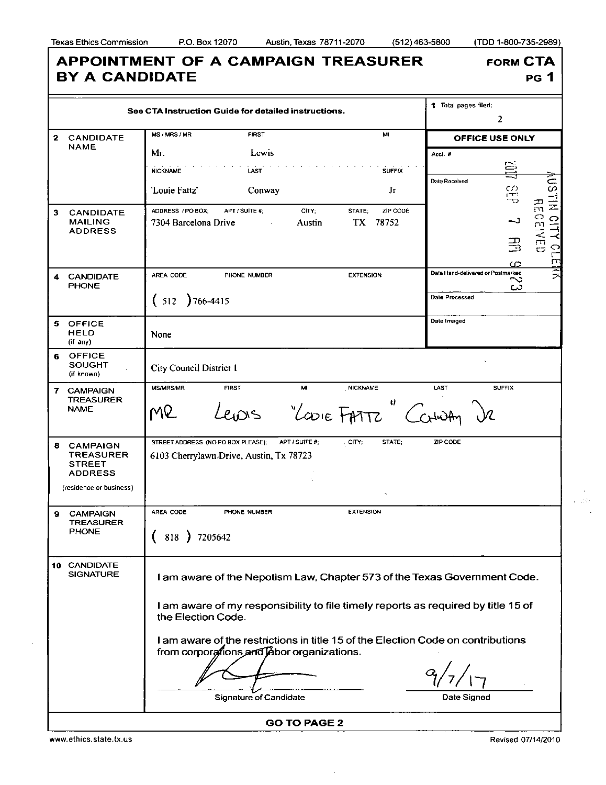I

I

| See CTA Instruction Guide for detailed instructions. |                                                                                                   |                                                                                                                                                                                      | 1 Total pages filed:<br>$\overline{2}$                                                                       |
|------------------------------------------------------|---------------------------------------------------------------------------------------------------|--------------------------------------------------------------------------------------------------------------------------------------------------------------------------------------|--------------------------------------------------------------------------------------------------------------|
|                                                      | 2 CANDIDATE<br><b>NAME</b>                                                                        | MS / MRS / MR<br><b>FIRST</b><br>MI                                                                                                                                                  | <b>OFFICE USE ONLY</b>                                                                                       |
|                                                      |                                                                                                   | Mг.<br>Lewis<br><b>NICKNAME</b><br><b>LAST</b><br><b>SUFFIX</b><br>'Louie Fattz'<br>Conway<br>Jг                                                                                     | Acct. #<br>目<br>چ<br>Date Received<br><b>STIN</b><br>CD<br>Ë                                                 |
| 3                                                    | <b>CANDIDATE</b><br><b>MAILING</b><br><b>ADDRESS</b>                                              | ZIP CODE<br>ADDRESS / PO BOX:<br>APT / SUITE #:<br>CITY;<br>STATE;<br>78752<br>7304 Barcelona Drive<br>TX<br>Austin                                                                  | 즑<br><b>CENED</b><br><b>CITY</b><br>ر۔<br>马<br>$\ddot{\Omega}$<br>$\sqrt{2}$<br>$\overline{\mathbf{r}}$<br>က |
|                                                      | <b>CANDIDATE</b><br><b>PHONE</b>                                                                  | AREA CODE<br>PHONE NUMBER<br><b>EXTENSION</b><br>$(512)$ 766-4415                                                                                                                    | 医区<br>Date Hand-delivered or Postmarked<br>ొ<br>دے<br>Dale Processed                                         |
|                                                      | 5 OFFICE<br><b>HELD</b><br>(if any)                                                               | None                                                                                                                                                                                 | Date Imaged                                                                                                  |
| 6                                                    | <b>OFFICE</b><br><b>SOUGHT</b><br>(if known)                                                      | <b>City Council District I</b>                                                                                                                                                       |                                                                                                              |
|                                                      | 7 CAMPAIGN<br><b>TREASURER</b><br><b>NAME</b>                                                     | <b>FIRST</b><br>MI<br>, NICKNAME<br><b>MS/MRS/MR</b><br>U,<br>"LOOIE FATTZ" Carling<br>MR                                                                                            | LAST<br><b>SUFFIX</b>                                                                                        |
| 8                                                    | <b>CAMPAIGN</b><br><b>TREASURER</b><br><b>STREET</b><br><b>ADDRESS</b><br>(residence or business) | STREET ADDRESS (NO PO BOX PLEASE);<br>APT / SUITE #:<br>CITY;<br>STATE;<br>6103 Cherrylawn Drive, Austin, Tx 78723                                                                   | ZIP CODE                                                                                                     |
| 9                                                    | <b>CAMPAIGN</b><br><b>TREASURER</b><br><b>PHONE</b>                                               | <b>EXTENSION</b><br>AREA CODE<br>PHONE NUMBER<br>818 ) 7205642                                                                                                                       |                                                                                                              |
|                                                      | 10 CANDIDATE<br><b>SIGNATURE</b>                                                                  | I am aware of the Nepotism Law, Chapter 573 of the Texas Government Code.<br>I am aware of my responsibility to file timely reports as required by title 15 of<br>the Election Code. |                                                                                                              |
|                                                      |                                                                                                   | I am aware of the restrictions in title 15 of the Election Code on contributions<br>from corporations and labor organizations.                                                       |                                                                                                              |

**GO TO PAGE 2** 

 $\bar{\star}$ 

www.ethics.state.tx.us Revised 07/14/2010

l.

 $\mathcal{L}$ . ap  $\mathcal{L}$